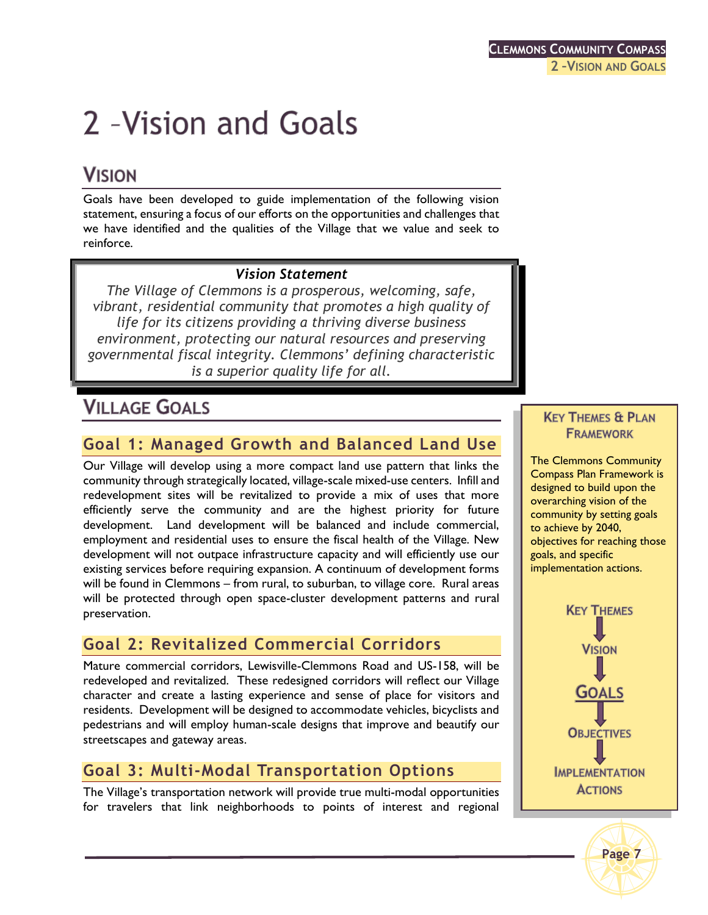# 2 - Vision and Goals

# **VISION**

Goals have been developed to guide implementation of the following vision statement, ensuring a focus of our efforts on the opportunities and challenges that we have identified and the qualities of the Village that we value and seek to reinforce.

#### *Vision Statement*

*The Village of Clemmons is a prosperous, welcoming, safe, vibrant, residential community that promotes a high quality of life for its citizens providing a thriving diverse business environment, protecting our natural resources and preserving governmental fiscal integrity. Clemmons' defining characteristic is a superior quality life for all.*

## **VILLAGE GOALS**

## **Goal 1: Managed Growth and Balanced Land Use**

Our Village will develop using a more compact land use pattern that links the community through strategically located, village-scale mixed-use centers. Infill and redevelopment sites will be revitalized to provide a mix of uses that more efficiently serve the community and are the highest priority for future development. Land development will be balanced and include commercial, employment and residential uses to ensure the fiscal health of the Village. New development will not outpace infrastructure capacity and will efficiently use our existing services before requiring expansion. A continuum of development forms will be found in Clemmons – from rural, to suburban, to village core. Rural areas will be protected through open space-cluster development patterns and rural preservation.

## **Goal 2: Revitalized Commercial Corridors**

Mature commercial corridors, Lewisville-Clemmons Road and US-158, will be redeveloped and revitalized. These redesigned corridors will reflect our Village character and create a lasting experience and sense of place for visitors and residents. Development will be designed to accommodate vehicles, bicyclists and pedestrians and will employ human-scale designs that improve and beautify our streetscapes and gateway areas.

## **Goal 3: Multi-Modal Transportation Options**

The Village's transportation network will provide true multi-modal opportunities for travelers that link neighborhoods to points of interest and regional

#### **KEY THEMES & PLAN FRAMEWORK**

The Clemmons Community Compass Plan Framework is designed to build upon the overarching vision of the community by setting goals to achieve by 2040, objectives for reaching those goals, and specific implementation actions.



**Page 7**